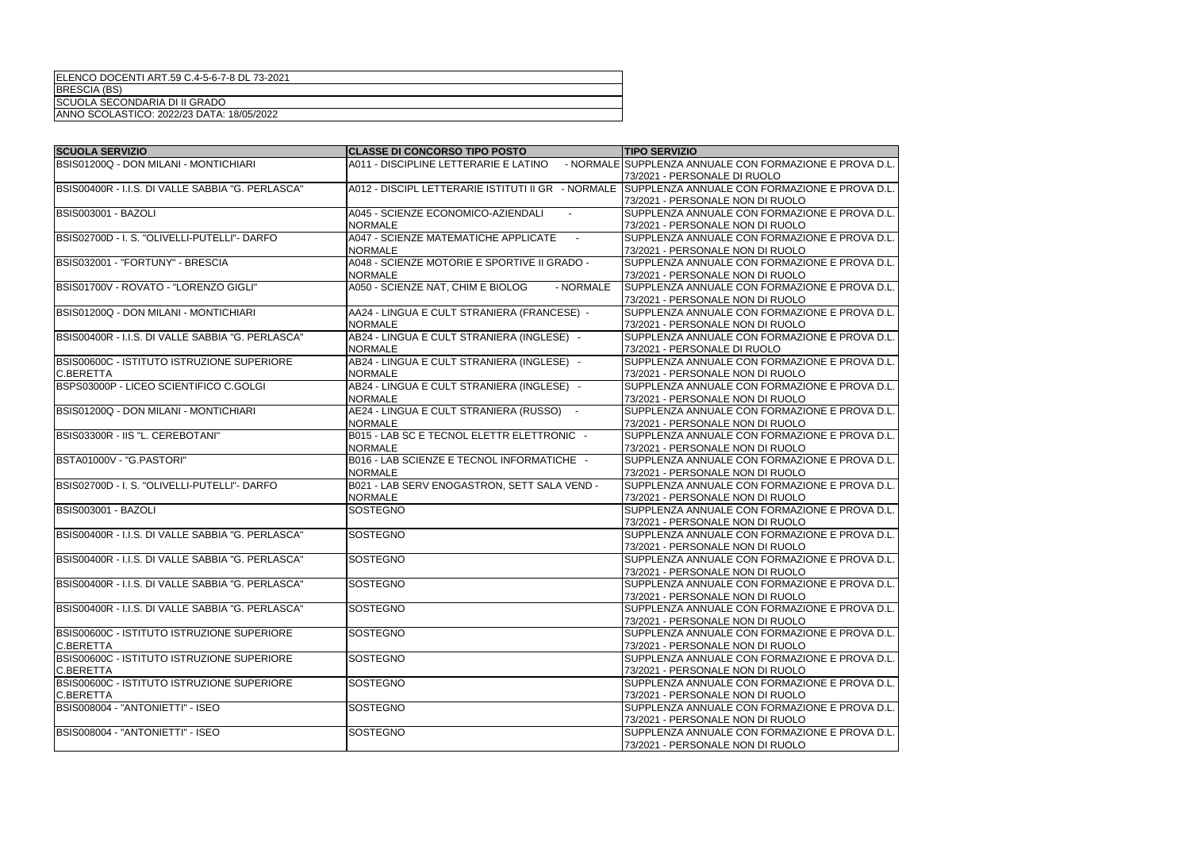| <b>SCUOLA SERVIZIO</b>                            | <b>CLASSE DI CONCORSO TIPO POSTO</b>           | <b>TIPO SERVIZIO</b>                                                                             |
|---------------------------------------------------|------------------------------------------------|--------------------------------------------------------------------------------------------------|
| BSIS01200Q - DON MILANI - MONTICHIARI             |                                                | A011 - DISCIPLINE LETTERARIE E LATINO - NORMALE SUPPLENZA ANNUALE CON FORMAZIONE E PROVA D.L.    |
|                                                   |                                                | 73/2021 - PERSONALE DI RUOLO                                                                     |
| BSIS00400R - I.I.S. DI VALLE SABBIA "G. PERLASCA" |                                                | A012 - DISCIPL LETTERARIE ISTITUTI II GR - NORMALE SUPPLENZA ANNUALE CON FORMAZIONE E PROVA D.L. |
|                                                   |                                                | 73/2021 - PERSONALE NON DI RUOLO                                                                 |
| <b>BSIS003001 - BAZOLI</b>                        | A045 - SCIENZE ECONOMICO-AZIENDALI             | SUPPLENZA ANNUALE CON FORMAZIONE E PROVA D.L.                                                    |
|                                                   | <b>NORMALE</b>                                 | 73/2021 - PERSONALE NON DI RUOLO                                                                 |
| BSIS02700D - I. S. "OLIVELLI-PUTELLI"- DARFO      | A047 - SCIENZE MATEMATICHE APPLICATE           | SUPPLENZA ANNUALE CON FORMAZIONE E PROVA D.L.                                                    |
|                                                   | <b>NORMALE</b>                                 | 73/2021 - PERSONALE NON DI RUOLO                                                                 |
| BSIS032001 - "FORTUNY" - BRESCIA                  | A048 - SCIENZE MOTORIE E SPORTIVE II GRADO -   | SUPPLENZA ANNUALE CON FORMAZIONE E PROVA D.L.                                                    |
|                                                   | <b>NORMALE</b>                                 | 73/2021 - PERSONALE NON DI RUOLO                                                                 |
| BSIS01700V - ROVATO - "LORENZO GIGLI"             | A050 - SCIENZE NAT, CHIM E BIOLOG<br>- NORMALE | SUPPLENZA ANNUALE CON FORMAZIONE E PROVA D.L.                                                    |
|                                                   |                                                | 73/2021 - PERSONALE NON DI RUOLO                                                                 |
| BSIS01200Q - DON MILANI - MONTICHIARI             | AA24 - LINGUA E CULT STRANIERA (FRANCESE) -    | SUPPLENZA ANNUALE CON FORMAZIONE E PROVA D.L.                                                    |
|                                                   | <b>NORMALE</b>                                 | 73/2021 - PERSONALE NON DI RUOLO                                                                 |
| BSIS00400R - I.I.S. DI VALLE SABBIA "G. PERLASCA" | AB24 - LINGUA E CULT STRANIERA (INGLESE) -     | SUPPLENZA ANNUALE CON FORMAZIONE E PROVA D.L.                                                    |
|                                                   | <b>NORMALE</b>                                 | 73/2021 - PERSONALE DI RUOLO                                                                     |
| BSIS00600C - ISTITUTO ISTRUZIONE SUPERIORE        | AB24 - LINGUA E CULT STRANIERA (INGLESE) -     | SUPPLENZA ANNUALE CON FORMAZIONE E PROVA D.L.                                                    |
| <b>C.BERETTA</b>                                  | <b>NORMALE</b>                                 | 73/2021 - PERSONALE NON DI RUOLO                                                                 |
| BSPS03000P - LICEO SCIENTIFICO C.GOLGI            | AB24 - LINGUA E CULT STRANIERA (INGLESE) -     | SUPPLENZA ANNUALE CON FORMAZIONE E PROVA D.L.                                                    |
|                                                   | <b>NORMALE</b>                                 | 73/2021 - PERSONALE NON DI RUOLO                                                                 |
| BSIS01200Q - DON MILANI - MONTICHIARI             | AE24 - LINGUA E CULT STRANIERA (RUSSO) -       | SUPPLENZA ANNUALE CON FORMAZIONE E PROVA D.L.                                                    |
|                                                   | <b>NORMALE</b>                                 | 73/2021 - PERSONALE NON DI RUOLO                                                                 |
| BSIS03300R - IIS "L. CEREBOTANI"                  | B015 - LAB SC E TECNOL ELETTR ELETTRONIC -     | SUPPLENZA ANNUALE CON FORMAZIONE E PROVA D.L.                                                    |
|                                                   | <b>NORMALE</b>                                 | 73/2021 - PERSONALE NON DI RUOLO                                                                 |
| BSTA01000V - "G.PASTORI"                          | B016 - LAB SCIENZE E TECNOL INFORMATICHE -     | SUPPLENZA ANNUALE CON FORMAZIONE E PROVA D.L.                                                    |
|                                                   | <b>NORMALE</b>                                 | 73/2021 - PERSONALE NON DI RUOLO                                                                 |
| BSIS02700D - I. S. "OLIVELLI-PUTELLI"- DARFO      | B021 - LAB SERV ENOGASTRON, SETT SALA VEND -   | SUPPLENZA ANNUALE CON FORMAZIONE E PROVA D.L.                                                    |
|                                                   | <b>NORMALE</b>                                 | 73/2021 - PERSONALE NON DI RUOLO                                                                 |
| BSIS003001 - BAZOLI                               | <b>SOSTEGNO</b>                                | SUPPLENZA ANNUALE CON FORMAZIONE E PROVA D.L.                                                    |
|                                                   |                                                | 73/2021 - PERSONALE NON DI RUOLO                                                                 |
| BSIS00400R - I.I.S. DI VALLE SABBIA "G. PERLASCA" | <b>SOSTEGNO</b>                                | SUPPLENZA ANNUALE CON FORMAZIONE E PROVA D.L.                                                    |
|                                                   |                                                | 73/2021 - PERSONALE NON DI RUOLO                                                                 |
| BSIS00400R - I.I.S. DI VALLE SABBIA "G. PERLASCA" | <b>SOSTEGNO</b>                                | SUPPLENZA ANNUALE CON FORMAZIONE E PROVA D.L.                                                    |
|                                                   |                                                | 73/2021 - PERSONALE NON DI RUOLO                                                                 |
| BSIS00400R - I.I.S. DI VALLE SABBIA "G. PERLASCA" | <b>SOSTEGNO</b>                                | SUPPLENZA ANNUALE CON FORMAZIONE E PROVA D.L.                                                    |
|                                                   |                                                | 73/2021 - PERSONALE NON DI RUOLO                                                                 |
| BSIS00400R - I.I.S. DI VALLE SABBIA "G. PERLASCA" | <b>SOSTEGNO</b>                                | SUPPLENZA ANNUALE CON FORMAZIONE E PROVA D.L.                                                    |
|                                                   |                                                | 73/2021 - PERSONALE NON DI RUOLO                                                                 |
| BSIS00600C - ISTITUTO ISTRUZIONE SUPERIORE        | SOSTEGNO                                       | SUPPLENZA ANNUALE CON FORMAZIONE E PROVA D.L.                                                    |
| <b>C.BERETTA</b>                                  |                                                | 73/2021 - PERSONALE NON DI RUOLO                                                                 |
| BSIS00600C - ISTITUTO ISTRUZIONE SUPERIORE        | <b>SOSTEGNO</b>                                | SUPPLENZA ANNUALE CON FORMAZIONE E PROVA D.L.                                                    |
| <b>C.BERETTA</b>                                  |                                                | 73/2021 - PERSONALE NON DI RUOLO                                                                 |
| <b>BSIS00600C - ISTITUTO ISTRUZIONE SUPERIORE</b> | <b>SOSTEGNO</b>                                | SUPPLENZA ANNUALE CON FORMAZIONE E PROVA D.L.                                                    |
| <b>C.BERETTA</b>                                  |                                                | 73/2021 - PERSONALE NON DI RUOLO                                                                 |
| BSIS008004 - "ANTONIETTI" - ISEO                  | <b>SOSTEGNO</b>                                | SUPPLENZA ANNUALE CON FORMAZIONE E PROVA D.L.                                                    |
|                                                   |                                                | 73/2021 - PERSONALE NON DI RUOLO                                                                 |
| BSIS008004 - "ANTONIETTI" - ISEO                  | <b>SOSTEGNO</b>                                | SUPPLENZA ANNUALE CON FORMAZIONE E PROVA D.L.                                                    |
|                                                   |                                                | 73/2021 - PERSONALE NON DI RUOLO                                                                 |
|                                                   |                                                |                                                                                                  |

| ELENCO DOCENTI ART.59 C.4-5-6-7-8 DL 73-2021 |  |
|----------------------------------------------|--|
|                                              |  |

BRESCIA (BS)

SCUOLA SECONDARIA DI II GRADO

ANNO SCOLASTICO: 2022/23 DATA: 18/05/2022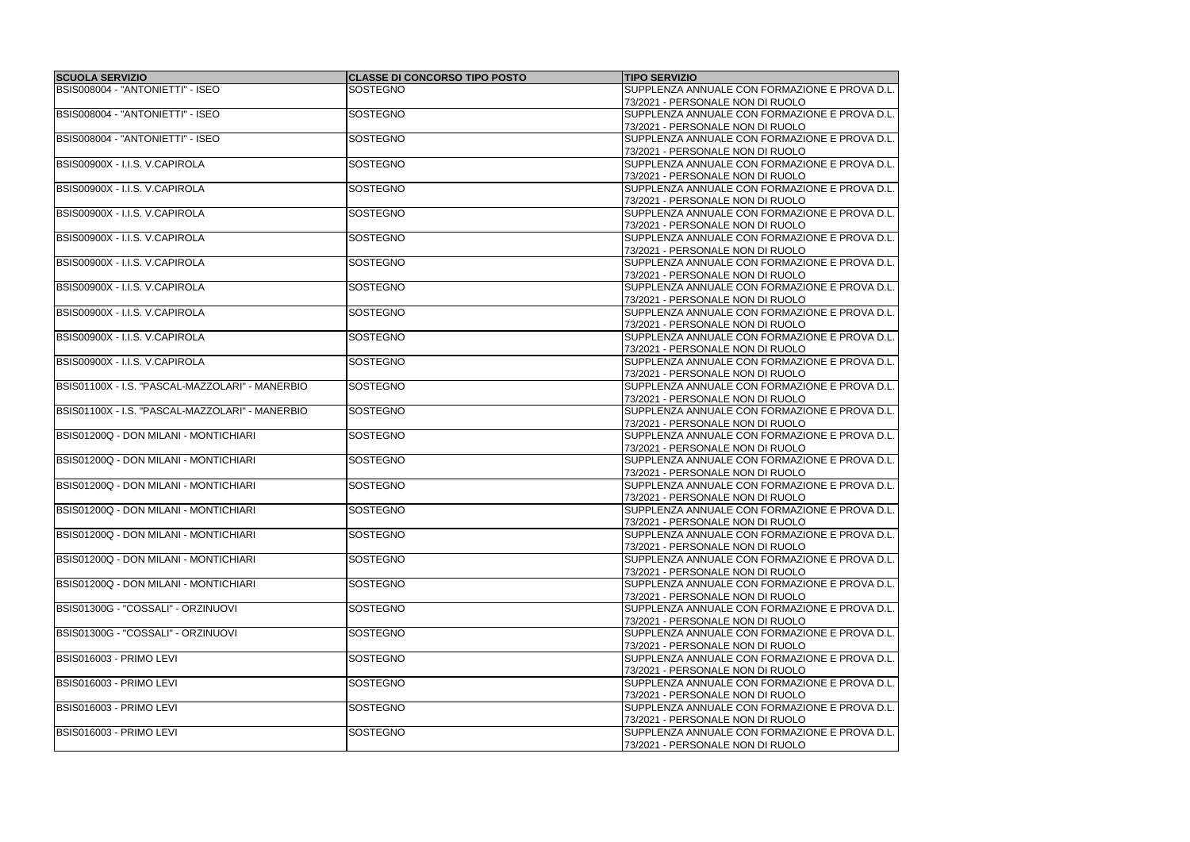| <b>SCUOLA SERVIZIO</b>                          | <b>CLASSE DI CONCORSO TIPO POSTO</b> | <b>TIPO SERVIZIO</b>                          |
|-------------------------------------------------|--------------------------------------|-----------------------------------------------|
| BSIS008004 - "ANTONIETTI" - ISEO                | <b>SOSTEGNO</b>                      | SUPPLENZA ANNUALE CON FORMAZIONE E PROVA D.L. |
|                                                 |                                      | 73/2021 - PERSONALE NON DI RUOLO              |
| BSIS008004 - "ANTONIETTI" - ISEO                | <b>SOSTEGNO</b>                      | SUPPLENZA ANNUALE CON FORMAZIONE E PROVA D.L. |
|                                                 |                                      | 73/2021 - PERSONALE NON DI RUOLO              |
| BSIS008004 - "ANTONIETTI" - ISEO                | <b>SOSTEGNO</b>                      | SUPPLENZA ANNUALE CON FORMAZIONE E PROVA D.L. |
|                                                 |                                      | 73/2021 - PERSONALE NON DI RUOLO              |
| BSIS00900X - I.I.S. V.CAPIROLA                  | <b>SOSTEGNO</b>                      | SUPPLENZA ANNUALE CON FORMAZIONE E PROVA D.L. |
|                                                 |                                      | 73/2021 - PERSONALE NON DI RUOLO              |
| BSIS00900X - I.I.S. V.CAPIROLA                  | <b>SOSTEGNO</b>                      | SUPPLENZA ANNUALE CON FORMAZIONE E PROVA D.L. |
|                                                 |                                      | 73/2021 - PERSONALE NON DI RUOLO              |
| BSIS00900X - I.I.S. V.CAPIROLA                  | <b>SOSTEGNO</b>                      | SUPPLENZA ANNUALE CON FORMAZIONE E PROVA D.L. |
|                                                 |                                      | 73/2021 - PERSONALE NON DI RUOLO              |
| BSIS00900X - I.I.S. V.CAPIROLA                  | <b>SOSTEGNO</b>                      | SUPPLENZA ANNUALE CON FORMAZIONE E PROVA D.L. |
|                                                 |                                      | 73/2021 - PERSONALE NON DI RUOLO              |
| BSIS00900X - I.I.S. V.CAPIROLA                  | <b>SOSTEGNO</b>                      | SUPPLENZA ANNUALE CON FORMAZIONE E PROVA D.L. |
|                                                 |                                      | 73/2021 - PERSONALE NON DI RUOLO              |
| BSIS00900X - I.I.S. V.CAPIROLA                  | <b>SOSTEGNO</b>                      | SUPPLENZA ANNUALE CON FORMAZIONE E PROVA D.L. |
|                                                 |                                      | 73/2021 - PERSONALE NON DI RUOLO              |
|                                                 | <b>SOSTEGNO</b>                      |                                               |
| BSIS00900X - I.I.S. V.CAPIROLA                  |                                      | SUPPLENZA ANNUALE CON FORMAZIONE E PROVA D.L. |
|                                                 |                                      | 73/2021 - PERSONALE NON DI RUOLO              |
| BSIS00900X - I.I.S. V.CAPIROLA                  | <b>SOSTEGNO</b>                      | SUPPLENZA ANNUALE CON FORMAZIONE E PROVA D.L. |
|                                                 |                                      | 73/2021 - PERSONALE NON DI RUOLO              |
| BSIS00900X - I.I.S. V.CAPIROLA                  | <b>SOSTEGNO</b>                      | SUPPLENZA ANNUALE CON FORMAZIONE E PROVA D.L. |
|                                                 |                                      | 73/2021 - PERSONALE NON DI RUOLO              |
| BSIS01100X - I.S. "PASCAL-MAZZOLARI" - MANERBIO | <b>SOSTEGNO</b>                      | SUPPLENZA ANNUALE CON FORMAZIONE E PROVA D.L. |
|                                                 |                                      | 73/2021 - PERSONALE NON DI RUOLO              |
| BSIS01100X - I.S. "PASCAL-MAZZOLARI" - MANERBIO | <b>SOSTEGNO</b>                      | SUPPLENZA ANNUALE CON FORMAZIONE E PROVA D.L. |
|                                                 |                                      | 73/2021 - PERSONALE NON DI RUOLO              |
| BSIS01200Q - DON MILANI - MONTICHIARI           | <b>SOSTEGNO</b>                      | SUPPLENZA ANNUALE CON FORMAZIONE E PROVA D.L. |
|                                                 |                                      | 73/2021 - PERSONALE NON DI RUOLO              |
| BSIS01200Q - DON MILANI - MONTICHIARI           | <b>SOSTEGNO</b>                      | SUPPLENZA ANNUALE CON FORMAZIONE E PROVA D.L. |
|                                                 |                                      | 73/2021 - PERSONALE NON DI RUOLO              |
| BSIS01200Q - DON MILANI - MONTICHIARI           | <b>SOSTEGNO</b>                      | SUPPLENZA ANNUALE CON FORMAZIONE E PROVA D.L. |
|                                                 |                                      | 73/2021 - PERSONALE NON DI RUOLO              |
| BSIS01200Q - DON MILANI - MONTICHIARI           | SOSTEGNO                             | SUPPLENZA ANNUALE CON FORMAZIONE E PROVA D.L. |
|                                                 |                                      | 73/2021 - PERSONALE NON DI RUOLO              |
| BSIS01200Q - DON MILANI - MONTICHIARI           | <b>SOSTEGNO</b>                      | SUPPLENZA ANNUALE CON FORMAZIONE E PROVA D.L. |
|                                                 |                                      | 73/2021 - PERSONALE NON DI RUOLO              |
| BSIS01200Q - DON MILANI - MONTICHIARI           | <b>SOSTEGNO</b>                      | SUPPLENZA ANNUALE CON FORMAZIONE E PROVA D.L. |
|                                                 |                                      | 73/2021 - PERSONALE NON DI RUOLO              |
| BSIS01200Q - DON MILANI - MONTICHIARI           | <b>SOSTEGNO</b>                      | SUPPLENZA ANNUALE CON FORMAZIONE E PROVA D.L. |
|                                                 |                                      | 73/2021 - PERSONALE NON DI RUOLO              |
| BSIS01300G - "COSSALI" - ORZINUOVI              | <b>SOSTEGNO</b>                      | SUPPLENZA ANNUALE CON FORMAZIONE E PROVA D.L. |
|                                                 |                                      | 73/2021 - PERSONALE NON DI RUOLO              |
| BSIS01300G - "COSSALI" - ORZINUOVI              | <b>SOSTEGNO</b>                      | SUPPLENZA ANNUALE CON FORMAZIONE E PROVA D.L. |
|                                                 |                                      | 73/2021 - PERSONALE NON DI RUOLO              |
| BSIS016003 - PRIMO LEVI                         | <b>SOSTEGNO</b>                      | SUPPLENZA ANNUALE CON FORMAZIONE E PROVA D.L. |
|                                                 |                                      | 73/2021 - PERSONALE NON DI RUOLO              |
| BSIS016003 - PRIMO LEVI                         | <b>SOSTEGNO</b>                      | SUPPLENZA ANNUALE CON FORMAZIONE E PROVA D.L. |
|                                                 |                                      | 73/2021 - PERSONALE NON DI RUOLO              |
| BSIS016003 - PRIMO LEVI                         | <b>SOSTEGNO</b>                      | SUPPLENZA ANNUALE CON FORMAZIONE E PROVA D.L. |
|                                                 |                                      | 73/2021 - PERSONALE NON DI RUOLO              |
| BSIS016003 - PRIMO LEVI                         | <b>SOSTEGNO</b>                      | SUPPLENZA ANNUALE CON FORMAZIONE E PROVA D.L. |
|                                                 |                                      | 73/2021 - PERSONALE NON DI RUOLO              |
|                                                 |                                      |                                               |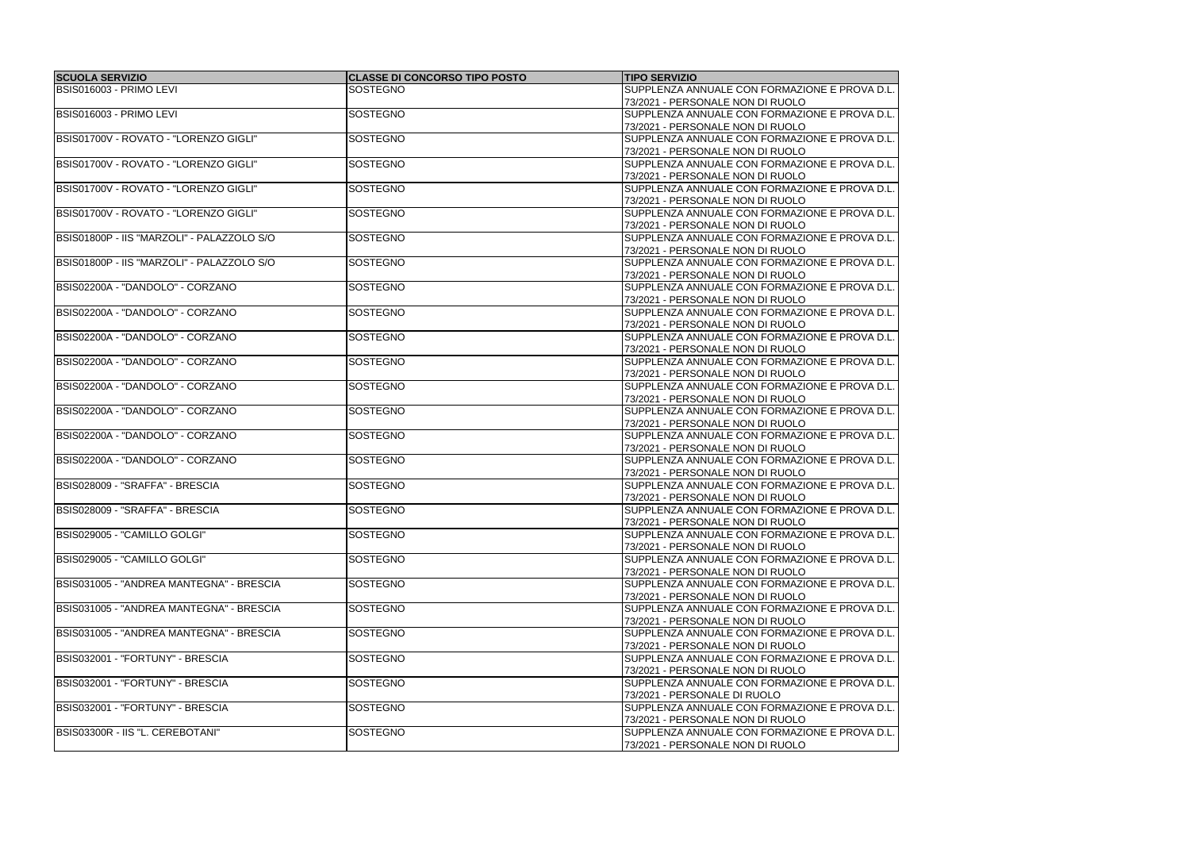| <b>SCUOLA SERVIZIO</b>                     | <b>CLASSE DI CONCORSO TIPO POSTO</b> | <b>TIPO SERVIZIO</b>                          |
|--------------------------------------------|--------------------------------------|-----------------------------------------------|
| BSIS016003 - PRIMO LEVI                    | <b>SOSTEGNO</b>                      | SUPPLENZA ANNUALE CON FORMAZIONE E PROVA D.L. |
|                                            |                                      | 73/2021 - PERSONALE NON DI RUOLO              |
| BSIS016003 - PRIMO LEVI                    | <b>SOSTEGNO</b>                      | SUPPLENZA ANNUALE CON FORMAZIONE E PROVA D.L. |
|                                            |                                      | 73/2021 - PERSONALE NON DI RUOLO              |
| BSIS01700V - ROVATO - "LORENZO GIGLI"      | <b>SOSTEGNO</b>                      | SUPPLENZA ANNUALE CON FORMAZIONE E PROVA D.L. |
|                                            |                                      | 73/2021 - PERSONALE NON DI RUOLO              |
| BSIS01700V - ROVATO - "LORENZO GIGLI"      | <b>SOSTEGNO</b>                      | SUPPLENZA ANNUALE CON FORMAZIONE E PROVA D.L. |
|                                            |                                      | 73/2021 - PERSONALE NON DI RUOLO              |
| BSIS01700V - ROVATO - "LORENZO GIGLI"      | <b>SOSTEGNO</b>                      | SUPPLENZA ANNUALE CON FORMAZIONE E PROVA D.L. |
|                                            |                                      | 73/2021 - PERSONALE NON DI RUOLO              |
| BSIS01700V - ROVATO - "LORENZO GIGLI"      | <b>SOSTEGNO</b>                      | SUPPLENZA ANNUALE CON FORMAZIONE E PROVA D.L. |
|                                            |                                      | 73/2021 - PERSONALE NON DI RUOLO              |
| BSIS01800P - IIS "MARZOLI" - PALAZZOLO S/O | <b>SOSTEGNO</b>                      | SUPPLENZA ANNUALE CON FORMAZIONE E PROVA D.L. |
|                                            |                                      | 73/2021 - PERSONALE NON DI RUOLO              |
| BSIS01800P - IIS "MARZOLI" - PALAZZOLO S/O | <b>SOSTEGNO</b>                      | SUPPLENZA ANNUALE CON FORMAZIONE E PROVA D.L. |
|                                            |                                      | 73/2021 - PERSONALE NON DI RUOLO              |
| BSIS02200A - "DANDOLO" - CORZANO           | <b>SOSTEGNO</b>                      | SUPPLENZA ANNUALE CON FORMAZIONE E PROVA D.L. |
|                                            |                                      | 73/2021 - PERSONALE NON DI RUOLO              |
| BSIS02200A - "DANDOLO" - CORZANO           | <b>SOSTEGNO</b>                      | SUPPLENZA ANNUALE CON FORMAZIONE E PROVA D.L. |
|                                            |                                      | 73/2021 - PERSONALE NON DI RUOLO              |
| BSIS02200A - "DANDOLO" - CORZANO           | <b>SOSTEGNO</b>                      | SUPPLENZA ANNUALE CON FORMAZIONE E PROVA D.L. |
|                                            |                                      | 73/2021 - PERSONALE NON DI RUOLO              |
| BSIS02200A - "DANDOLO" - CORZANO           | <b>SOSTEGNO</b>                      | SUPPLENZA ANNUALE CON FORMAZIONE E PROVA D.L. |
|                                            |                                      | 73/2021 - PERSONALE NON DI RUOLO              |
| BSIS02200A - "DANDOLO" - CORZANO           | <b>SOSTEGNO</b>                      | SUPPLENZA ANNUALE CON FORMAZIONE E PROVA D.L. |
|                                            |                                      | 73/2021 - PERSONALE NON DI RUOLO              |
| BSIS02200A - "DANDOLO" - CORZANO           | SOSTEGNO                             | SUPPLENZA ANNUALE CON FORMAZIONE E PROVA D.L. |
|                                            |                                      | 73/2021 - PERSONALE NON DI RUOLO              |
| BSIS02200A - "DANDOLO" - CORZANO           | <b>SOSTEGNO</b>                      | SUPPLENZA ANNUALE CON FORMAZIONE E PROVA D.L. |
|                                            |                                      | 73/2021 - PERSONALE NON DI RUOLO              |
| BSIS02200A - "DANDOLO" - CORZANO           | <b>SOSTEGNO</b>                      | SUPPLENZA ANNUALE CON FORMAZIONE E PROVA D.L. |
|                                            |                                      | 73/2021 - PERSONALE NON DI RUOLO              |
| BSIS028009 - "SRAFFA" - BRESCIA            | <b>SOSTEGNO</b>                      | SUPPLENZA ANNUALE CON FORMAZIONE E PROVA D.L. |
|                                            |                                      | 73/2021 - PERSONALE NON DI RUOLO              |
| BSIS028009 - "SRAFFA" - BRESCIA            | <b>SOSTEGNO</b>                      | SUPPLENZA ANNUALE CON FORMAZIONE E PROVA D.L. |
|                                            |                                      | 73/2021 - PERSONALE NON DI RUOLO              |
| BSIS029005 - "CAMILLO GOLGI"               | <b>SOSTEGNO</b>                      | SUPPLENZA ANNUALE CON FORMAZIONE E PROVA D.L. |
|                                            |                                      | 73/2021 - PERSONALE NON DI RUOLO              |
| BSIS029005 - "CAMILLO GOLGI"               | <b>SOSTEGNO</b>                      | SUPPLENZA ANNUALE CON FORMAZIONE E PROVA D.L. |
|                                            |                                      | 73/2021 - PERSONALE NON DI RUOLO              |
| BSIS031005 - "ANDREA MANTEGNA" - BRESCIA   | SOSTEGNO                             | SUPPLENZA ANNUALE CON FORMAZIONE E PROVA D.L. |
|                                            |                                      | 73/2021 - PERSONALE NON DI RUOLO              |
| BSIS031005 - "ANDREA MANTEGNA" - BRESCIA   | SOSTEGNO                             | SUPPLENZA ANNUALE CON FORMAZIONE E PROVA D.L. |
|                                            |                                      | 73/2021 - PERSONALE NON DI RUOLO              |
| BSIS031005 - "ANDREA MANTEGNA" - BRESCIA   | SOSTEGNO                             | SUPPLENZA ANNUALE CON FORMAZIONE E PROVA D.L. |
|                                            |                                      | 73/2021 - PERSONALE NON DI RUOLO              |
| BSIS032001 - "FORTUNY" - BRESCIA           | <b>SOSTEGNO</b>                      | SUPPLENZA ANNUALE CON FORMAZIONE E PROVA D.L. |
|                                            |                                      | 73/2021 - PERSONALE NON DI RUOLO              |
| BSIS032001 - "FORTUNY" - BRESCIA           | <b>SOSTEGNO</b>                      | SUPPLENZA ANNUALE CON FORMAZIONE E PROVA D.L. |
|                                            |                                      | 73/2021 - PERSONALE DI RUOLO                  |
| BSIS032001 - "FORTUNY" - BRESCIA           | <b>SOSTEGNO</b>                      | SUPPLENZA ANNUALE CON FORMAZIONE E PROVA D.L. |
|                                            |                                      | 73/2021 - PERSONALE NON DI RUOLO              |
| BSIS03300R - IIS "L. CEREBOTANI"           | <b>SOSTEGNO</b>                      | SUPPLENZA ANNUALE CON FORMAZIONE E PROVA D.L. |
|                                            |                                      |                                               |
|                                            |                                      | 73/2021 - PERSONALE NON DI RUOLO              |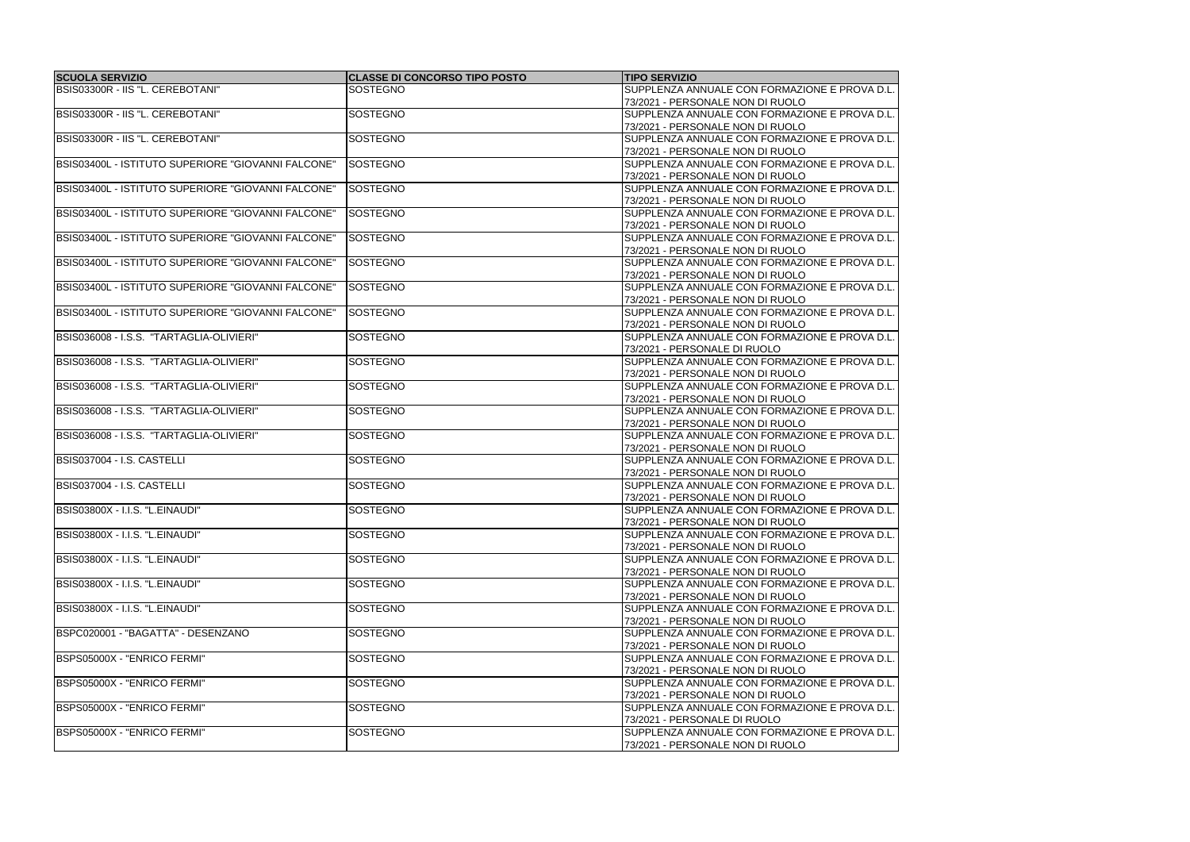| <b>SCUOLA SERVIZIO</b>                             | <b>CLASSE DI CONCORSO TIPO POSTO</b> | <b>TIPO SERVIZIO</b>                          |
|----------------------------------------------------|--------------------------------------|-----------------------------------------------|
| BSIS03300R - IIS "L. CEREBOTANI"                   | <b>SOSTEGNO</b>                      | SUPPLENZA ANNUALE CON FORMAZIONE E PROVA D.L. |
|                                                    |                                      | 73/2021 - PERSONALE NON DI RUOLO              |
| BSIS03300R - IIS "L. CEREBOTANI"                   | <b>SOSTEGNO</b>                      | SUPPLENZA ANNUALE CON FORMAZIONE E PROVA D.L. |
|                                                    |                                      | 73/2021 - PERSONALE NON DI RUOLO              |
| BSIS03300R - IIS "L. CEREBOTANI"                   | <b>SOSTEGNO</b>                      | SUPPLENZA ANNUALE CON FORMAZIONE E PROVA D.L. |
|                                                    |                                      | 73/2021 - PERSONALE NON DI RUOLO              |
| BSIS03400L - ISTITUTO SUPERIORE "GIOVANNI FALCONE" | <b>SOSTEGNO</b>                      | SUPPLENZA ANNUALE CON FORMAZIONE E PROVA D.L. |
|                                                    |                                      | 73/2021 - PERSONALE NON DI RUOLO              |
| BSIS03400L - ISTITUTO SUPERIORE "GIOVANNI FALCONE" | SOSTEGNO                             | SUPPLENZA ANNUALE CON FORMAZIONE E PROVA D.L. |
|                                                    |                                      | 73/2021 - PERSONALE NON DI RUOLO              |
| BSIS03400L - ISTITUTO SUPERIORE "GIOVANNI FALCONE" | <b>SOSTEGNO</b>                      | SUPPLENZA ANNUALE CON FORMAZIONE E PROVA D.L. |
|                                                    |                                      | 73/2021 - PERSONALE NON DI RUOLO              |
| BSIS03400L - ISTITUTO SUPERIORE "GIOVANNI FALCONE" | SOSTEGNO                             | SUPPLENZA ANNUALE CON FORMAZIONE E PROVA D.L. |
|                                                    |                                      | 73/2021 - PERSONALE NON DI RUOLO              |
| BSIS03400L - ISTITUTO SUPERIORE "GIOVANNI FALCONE" | <b>SOSTEGNO</b>                      | SUPPLENZA ANNUALE CON FORMAZIONE E PROVA D.L. |
|                                                    |                                      | 73/2021 - PERSONALE NON DI RUOLO              |
| BSIS03400L - ISTITUTO SUPERIORE "GIOVANNI FALCONE" | <b>SOSTEGNO</b>                      | SUPPLENZA ANNUALE CON FORMAZIONE E PROVA D.L. |
|                                                    |                                      | 73/2021 - PERSONALE NON DI RUOLO              |
| BSIS03400L - ISTITUTO SUPERIORE "GIOVANNI FALCONE" | <b>SOSTEGNO</b>                      | SUPPLENZA ANNUALE CON FORMAZIONE E PROVA D.L. |
|                                                    |                                      | 73/2021 - PERSONALE NON DI RUOLO              |
| BSIS036008 - I.S.S. "TARTAGLIA-OLIVIERI"           | SOSTEGNO                             | SUPPLENZA ANNUALE CON FORMAZIONE E PROVA D.L. |
|                                                    |                                      | 73/2021 - PERSONALE DI RUOLO                  |
| BSIS036008 - I.S.S. "TARTAGLIA-OLIVIERI"           | <b>SOSTEGNO</b>                      | SUPPLENZA ANNUALE CON FORMAZIONE E PROVA D.L. |
|                                                    |                                      | 73/2021 - PERSONALE NON DI RUOLO              |
| BSIS036008 - I.S.S. "TARTAGLIA-OLIVIERI"           | <b>SOSTEGNO</b>                      | SUPPLENZA ANNUALE CON FORMAZIONE E PROVA D.L. |
|                                                    |                                      | 73/2021 - PERSONALE NON DI RUOLO              |
| BSIS036008 - I.S.S. "TARTAGLIA-OLIVIERI"           | <b>SOSTEGNO</b>                      | SUPPLENZA ANNUALE CON FORMAZIONE E PROVA D.L. |
|                                                    |                                      | 73/2021 - PERSONALE NON DI RUOLO              |
| BSIS036008 - I.S.S. "TARTAGLIA-OLIVIERI"           | <b>SOSTEGNO</b>                      | SUPPLENZA ANNUALE CON FORMAZIONE E PROVA D.L. |
|                                                    |                                      |                                               |
| BSIS037004 - I.S. CASTELLI                         | <b>SOSTEGNO</b>                      | 73/2021 - PERSONALE NON DI RUOLO              |
|                                                    |                                      | SUPPLENZA ANNUALE CON FORMAZIONE E PROVA D.L. |
|                                                    |                                      | 73/2021 - PERSONALE NON DI RUOLO              |
| BSIS037004 - I.S. CASTELLI                         | <b>SOSTEGNO</b>                      | SUPPLENZA ANNUALE CON FORMAZIONE E PROVA D.L. |
|                                                    |                                      | 73/2021 - PERSONALE NON DI RUOLO              |
| BSIS03800X - I.I.S. "L.EINAUDI"                    | <b>SOSTEGNO</b>                      | SUPPLENZA ANNUALE CON FORMAZIONE E PROVA D.L. |
|                                                    |                                      | 73/2021 - PERSONALE NON DI RUOLO              |
| BSIS03800X - I.I.S. "L.EINAUDI"                    | <b>SOSTEGNO</b>                      | SUPPLENZA ANNUALE CON FORMAZIONE E PROVA D.L. |
|                                                    |                                      | 73/2021 - PERSONALE NON DI RUOLO              |
| BSIS03800X - I.I.S. "L.EINAUDI"                    | <b>SOSTEGNO</b>                      | SUPPLENZA ANNUALE CON FORMAZIONE E PROVA D.L. |
|                                                    |                                      | 73/2021 - PERSONALE NON DI RUOLO              |
| BSIS03800X - I.I.S. "L.EINAUDI"                    | <b>SOSTEGNO</b>                      | SUPPLENZA ANNUALE CON FORMAZIONE E PROVA D.L. |
|                                                    |                                      | 73/2021 - PERSONALE NON DI RUOLO              |
| BSIS03800X - I.I.S. "L.EINAUDI"                    | <b>SOSTEGNO</b>                      | SUPPLENZA ANNUALE CON FORMAZIONE E PROVA D.L. |
|                                                    |                                      | 73/2021 - PERSONALE NON DI RUOLO              |
| BSPC020001 - "BAGATTA" - DESENZANO                 | <b>SOSTEGNO</b>                      | SUPPLENZA ANNUALE CON FORMAZIONE E PROVA D.L. |
|                                                    |                                      | 73/2021 - PERSONALE NON DI RUOLO              |
| BSPS05000X - "ENRICO FERMI"                        | <b>SOSTEGNO</b>                      | SUPPLENZA ANNUALE CON FORMAZIONE E PROVA D.L. |
|                                                    |                                      | 73/2021 - PERSONALE NON DI RUOLO              |
| BSPS05000X - "ENRICO FERMI"                        | <b>SOSTEGNO</b>                      | SUPPLENZA ANNUALE CON FORMAZIONE E PROVA D.L. |
|                                                    |                                      | 73/2021 - PERSONALE NON DI RUOLO              |
| BSPS05000X - "ENRICO FERMI"                        | <b>SOSTEGNO</b>                      | SUPPLENZA ANNUALE CON FORMAZIONE E PROVA D.L. |
|                                                    |                                      | 73/2021 - PERSONALE DI RUOLO                  |
| <b>IBSPS05000X - "ENRICO FERMI"</b>                | <b>SOSTEGNO</b>                      | SUPPLENZA ANNUALE CON FORMAZIONE E PROVA D.L. |
|                                                    |                                      | 73/2021 - PERSONALE NON DI RUOLO              |